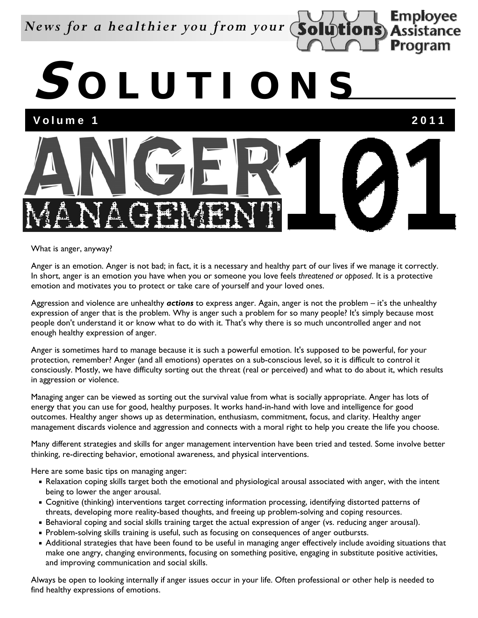## *News for a healthier you from your*

**S OLUTIONS**

Volume 1 2011

**Employee** Assistance

Program



What is anger, anyway?

Anger is an emotion. Anger is not bad; in fact, it is a necessary and healthy part of our lives if we manage it correctly. In short, anger is an emotion you have when you or someone you love feels *threatened or opposed*. It is a protective emotion and motivates you to protect or take care of yourself and your loved ones.

Aggression and violence are unhealthy *actions* to express anger. Again, anger is not the problem – it's the unhealthy expression of anger that is the problem. Why is anger such a problem for so many people? It's simply because most people don't understand it or know what to do with it. That's why there is so much uncontrolled anger and not enough healthy expression of anger.

Anger is sometimes hard to manage because it is such a powerful emotion. It's supposed to be powerful, for your protection, remember? Anger (and all emotions) operates on a sub-conscious level, so it is difficult to control it consciously. Mostly, we have difficulty sorting out the threat (real or perceived) and what to do about it, which results in aggression or violence.

Managing anger can be viewed as sorting out the survival value from what is socially appropriate. Anger has lots of energy that you can use for good, healthy purposes. It works hand-in-hand with love and intelligence for good outcomes. Healthy anger shows up as determination, enthusiasm, commitment, focus, and clarity. Healthy anger management discards violence and aggression and connects with a moral right to help you create the life you choose.

Many different strategies and skills for anger management intervention have been tried and tested. Some involve better thinking, re-directing behavior, emotional awareness, and physical interventions.

Here are some basic tips on managing anger:

- Relaxation coping skills target both the emotional and physiological arousal associated with anger, with the intent being to lower the anger arousal.
- Cognitive (thinking) interventions target correcting information processing, identifying distorted patterns of threats, developing more reality-based thoughts, and freeing up problem-solving and coping resources.
- Behavioral coping and social skills training target the actual expression of anger (vs. reducing anger arousal).
- Problem-solving skills training is useful, such as focusing on consequences of anger outbursts.
- Additional strategies that have been found to be useful in managing anger effectively include avoiding situations that make one angry, changing environments, focusing on something positive, engaging in substitute positive activities, and improving communication and social skills.

Always be open to looking internally if anger issues occur in your life. Often professional or other help is needed to find healthy expressions of emotions.